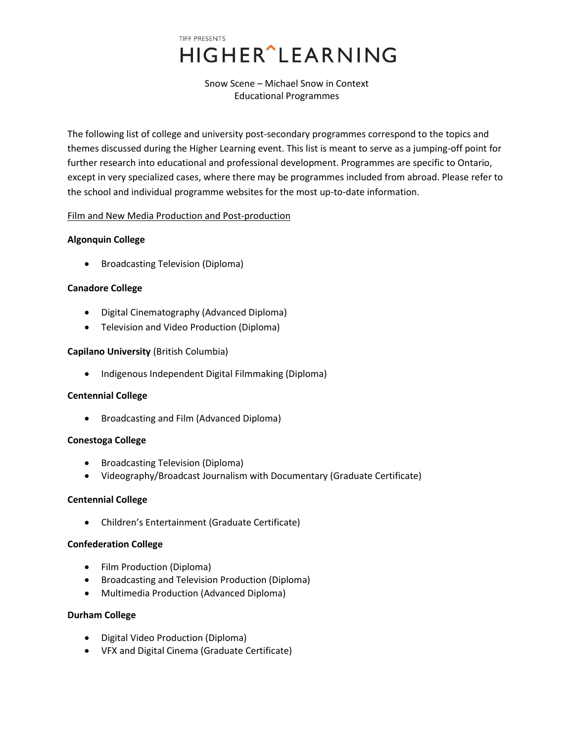# TIFF PRESENTS **HIGHER** LEARNING

Snow Scene – Michael Snow in Context Educational Programmes

The following list of college and university post-secondary programmes correspond to the topics and themes discussed during the Higher Learning event. This list is meant to serve as a jumping-off point for further research into educational and professional development. Programmes are specific to Ontario, except in very specialized cases, where there may be programmes included from abroad. Please refer to the school and individual programme websites for the most up-to-date information.

# Film and New Media Production and Post-production

# **Algonquin College**

Broadcasting Television (Diploma)

# **Canadore College**

- Digital Cinematography (Advanced Diploma)
- Television and Video Production (Diploma)

# **Capilano University** (British Columbia)

• Indigenous Independent Digital Filmmaking (Diploma)

# **Centennial College**

• Broadcasting and Film (Advanced Diploma)

# **Conestoga College**

- Broadcasting Television (Diploma)
- Videography/Broadcast Journalism with Documentary (Graduate Certificate)

# **Centennial College**

Children's Entertainment (Graduate Certificate)

# **Confederation College**

- Film Production (Diploma)
- Broadcasting and Television Production (Diploma)
- Multimedia Production (Advanced Diploma)

# **Durham College**

- Digital Video Production (Diploma)
- VFX and Digital Cinema (Graduate Certificate)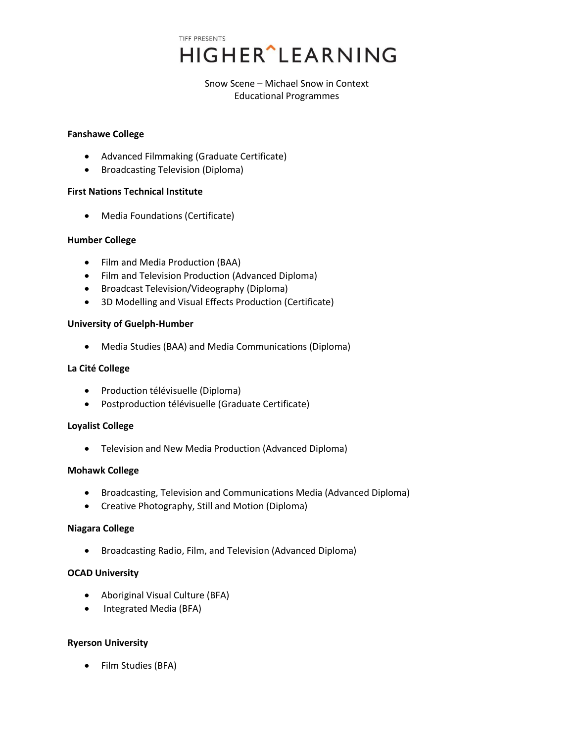> Snow Scene – Michael Snow in Context Educational Programmes

#### **Fanshawe College**

- Advanced Filmmaking (Graduate Certificate)
- Broadcasting Television (Diploma)

## **First Nations Technical Institute**

Media Foundations (Certificate)

## **Humber College**

- Film and Media Production (BAA)
- Film and Television Production (Advanced Diploma)
- Broadcast Television/Videography (Diploma)
- 3D Modelling and Visual Effects Production (Certificate)

## **University of Guelph-Humber**

Media Studies (BAA) and Media Communications (Diploma)

## **La Cité College**

- Production télévisuelle (Diploma)
- Postproduction télévisuelle (Graduate Certificate)

# **Loyalist College**

Television and New Media Production (Advanced Diploma)

# **Mohawk College**

- Broadcasting, Television and Communications Media (Advanced Diploma)
- Creative Photography, Still and Motion (Diploma)

#### **Niagara College**

Broadcasting Radio, Film, and Television (Advanced Diploma)

#### **OCAD University**

- Aboriginal Visual Culture (BFA)
- Integrated Media (BFA)

# **Ryerson University**

• Film Studies (BFA)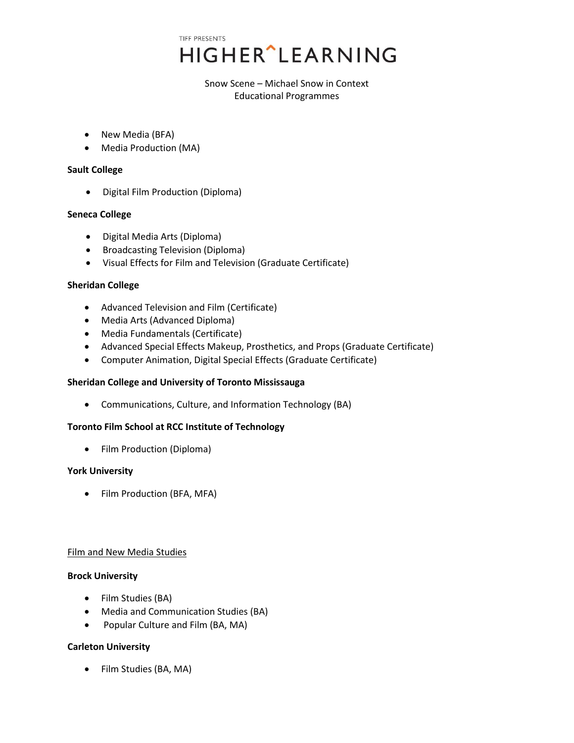> Snow Scene – Michael Snow in Context Educational Programmes

- New Media (BFA)
- Media Production (MA)

## **Sault College**

• Digital Film Production (Diploma)

# **Seneca College**

- Digital Media Arts (Diploma)
- Broadcasting Television (Diploma)
- Visual Effects for Film and Television (Graduate Certificate)

## **Sheridan College**

- Advanced Television and Film (Certificate)
- Media Arts (Advanced Diploma)
- Media Fundamentals (Certificate)
- Advanced Special Effects Makeup, Prosthetics, and Props (Graduate Certificate)
- Computer Animation, Digital Special Effects (Graduate Certificate)

# **Sheridan College and University of Toronto Mississauga**

Communications, Culture, and Information Technology (BA)

# **Toronto Film School at RCC Institute of Technology**

• Film Production (Diploma)

#### **York University**

• Film Production (BFA, MFA)

#### Film and New Media Studies

#### **Brock University**

- Film Studies (BA)
- Media and Communication Studies (BA)
- Popular Culture and Film (BA, MA)

# **Carleton University**

Film Studies (BA, MA)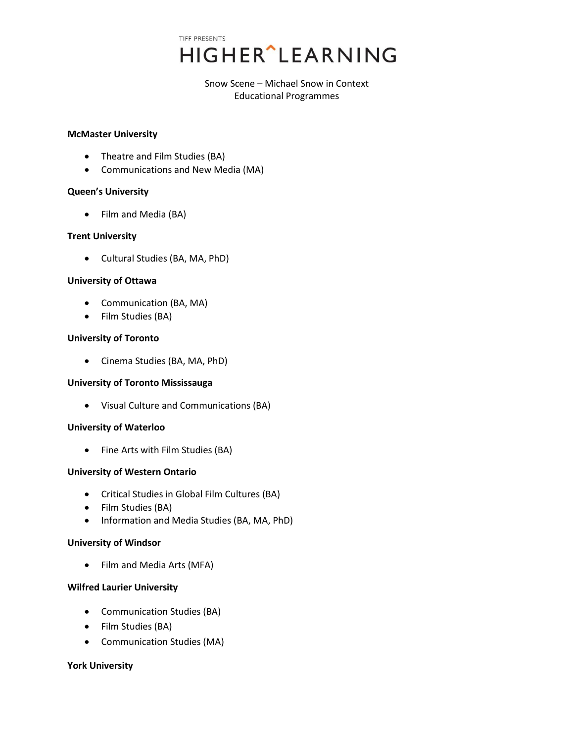> Snow Scene – Michael Snow in Context Educational Programmes

#### **McMaster University**

- Theatre and Film Studies (BA)
- Communications and New Media (MA)

## **Queen's University**

• Film and Media (BA)

## **Trent University**

Cultural Studies (BA, MA, PhD)

## **University of Ottawa**

- Communication (BA, MA)
- Film Studies (BA)

## **University of Toronto**

Cinema Studies (BA, MA, PhD)

# **University of Toronto Mississauga**

Visual Culture and Communications (BA)

#### **University of Waterloo**

• Fine Arts with Film Studies (BA)

# **University of Western Ontario**

- Critical Studies in Global Film Cultures (BA)
- Film Studies (BA)
- Information and Media Studies (BA, MA, PhD)

#### **University of Windsor**

• Film and Media Arts (MFA)

# **Wilfred Laurier University**

- Communication Studies (BA)
- Film Studies (BA)
- Communication Studies (MA)

# **York University**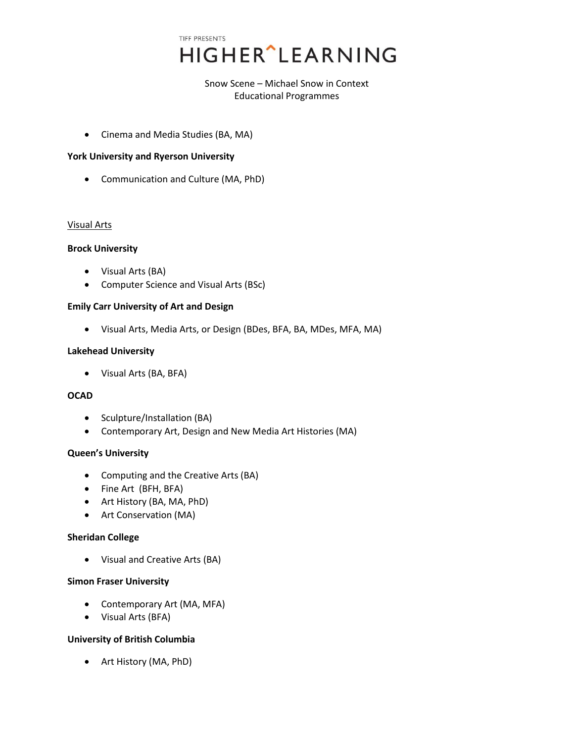> Snow Scene – Michael Snow in Context Educational Programmes

Cinema and Media Studies (BA, MA)

## **York University and Ryerson University**

Communication and Culture (MA, PhD)

## Visual Arts

## **Brock University**

- Visual Arts (BA)
- Computer Science and Visual Arts (BSc)

## **Emily Carr University of Art and Design**

Visual Arts, Media Arts, or Design (BDes, BFA, BA, MDes, MFA, MA)

## **Lakehead University**

Visual Arts (BA, BFA)

## **OCAD**

- Sculpture/Installation (BA)
- Contemporary Art, Design and New Media Art Histories (MA)

#### **Queen's University**

- Computing and the Creative Arts (BA)
- Fine Art (BFH, BFA)
- Art History (BA, MA, PhD)
- Art Conservation (MA)

#### **Sheridan College**

Visual and Creative Arts (BA)

#### **Simon Fraser University**

- Contemporary Art (MA, MFA)
- Visual Arts (BFA)

#### **University of British Columbia**

Art History (MA, PhD)